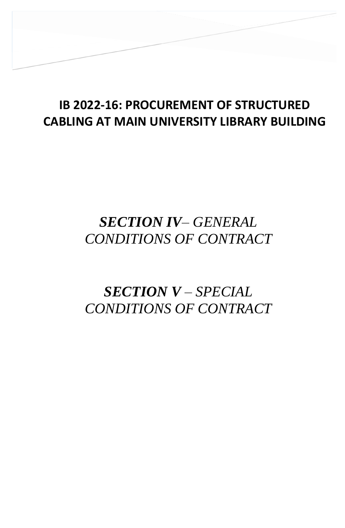## **IB 2022-16: PROCUREMENT OF STRUCTURED CABLING AT MAIN UNIVERSITY LIBRARY BUILDING**

**SECTION IV – GENERAL CONDITIONS OF** 

## *SECTION IV– GENERAL CONDITIONS OF CONTRACT*

## *SECTION V – SPECIAL CONDITIONS OF CONTRACT*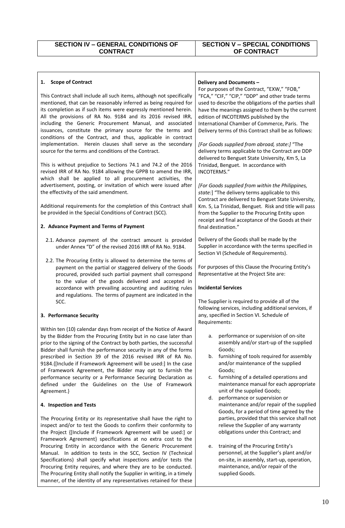## **SECTION V – SPECIAL CONDITIONS OF CONTRACT**

| <b>Scope of Contract</b><br>1.                                                                                                                                                                                                                                                                                                                                                                                                                                                                                                                                                                | Delivery and Documents -                                                                                                                                                                                                                                                                                                                                                                                                                                              |
|-----------------------------------------------------------------------------------------------------------------------------------------------------------------------------------------------------------------------------------------------------------------------------------------------------------------------------------------------------------------------------------------------------------------------------------------------------------------------------------------------------------------------------------------------------------------------------------------------|-----------------------------------------------------------------------------------------------------------------------------------------------------------------------------------------------------------------------------------------------------------------------------------------------------------------------------------------------------------------------------------------------------------------------------------------------------------------------|
| This Contract shall include all such items, although not specifically<br>mentioned, that can be reasonably inferred as being required for<br>its completion as if such items were expressly mentioned herein.<br>All the provisions of RA No. 9184 and its 2016 revised IRR,<br>including the Generic Procurement Manual, and associated<br>issuances, constitute the primary source for the terms and<br>conditions of the Contract, and thus, applicable in contract<br>implementation. Herein clauses shall serve as the secondary<br>source for the terms and conditions of the Contract. | For purposes of the Contract, "EXW," "FOB,"<br>"FCA," "CIF," "CIP," "DDP" and other trade terms<br>used to describe the obligations of the parties shall<br>have the meanings assigned to them by the current<br>edition of INCOTERMS published by the<br>International Chamber of Commerce, Paris. The<br>Delivery terms of this Contract shall be as follows:<br>[For Goods supplied from abroad, state:] "The<br>delivery terms applicable to the Contract are DDP |
| This is without prejudice to Sections 74.1 and 74.2 of the 2016<br>revised IRR of RA No. 9184 allowing the GPPB to amend the IRR,<br>which shall be applied to all procurement activities, the<br>advertisement, posting, or invitation of which were issued after                                                                                                                                                                                                                                                                                                                            | delivered to Benguet State University, Km 5, La<br>Trinidad, Benguet. In accordance with<br>INCOTERMS."<br>[For Goods supplied from within the Philippines,                                                                                                                                                                                                                                                                                                           |
| the effectivity of the said amendment.                                                                                                                                                                                                                                                                                                                                                                                                                                                                                                                                                        | state:] "The delivery terms applicable to this<br>Contract are delivered to Benguet State University,                                                                                                                                                                                                                                                                                                                                                                 |
| Additional requirements for the completion of this Contract shall<br>be provided in the Special Conditions of Contract (SCC).                                                                                                                                                                                                                                                                                                                                                                                                                                                                 | Km. 5, La Trinidad, Benguet. Risk and title will pass<br>from the Supplier to the Procuring Entity upon<br>receipt and final acceptance of the Goods at their                                                                                                                                                                                                                                                                                                         |
| 2. Advance Payment and Terms of Payment                                                                                                                                                                                                                                                                                                                                                                                                                                                                                                                                                       | final destination."                                                                                                                                                                                                                                                                                                                                                                                                                                                   |
| 2.1. Advance payment of the contract amount is provided<br>under Annex "D" of the revised 2016 IRR of RA No. 9184.                                                                                                                                                                                                                                                                                                                                                                                                                                                                            | Delivery of the Goods shall be made by the<br>Supplier in accordance with the terms specified in<br>Section VI (Schedule of Requirements).                                                                                                                                                                                                                                                                                                                            |
| 2.2. The Procuring Entity is allowed to determine the terms of<br>payment on the partial or staggered delivery of the Goods<br>procured, provided such partial payment shall correspond<br>to the value of the goods delivered and accepted in                                                                                                                                                                                                                                                                                                                                                | For purposes of this Clause the Procuring Entity's<br>Representative at the Project Site are:                                                                                                                                                                                                                                                                                                                                                                         |
|                                                                                                                                                                                                                                                                                                                                                                                                                                                                                                                                                                                               |                                                                                                                                                                                                                                                                                                                                                                                                                                                                       |
| accordance with prevailing accounting and auditing rules<br>and regulations. The terms of payment are indicated in the                                                                                                                                                                                                                                                                                                                                                                                                                                                                        | <b>Incidental Services</b>                                                                                                                                                                                                                                                                                                                                                                                                                                            |
| SCC.                                                                                                                                                                                                                                                                                                                                                                                                                                                                                                                                                                                          | The Supplier is required to provide all of the<br>following services, including additional services, if                                                                                                                                                                                                                                                                                                                                                               |
| 3. Performance Security                                                                                                                                                                                                                                                                                                                                                                                                                                                                                                                                                                       | any, specified in Section VI. Schedule of<br>Requirements:                                                                                                                                                                                                                                                                                                                                                                                                            |
| Within ten (10) calendar days from receipt of the Notice of Award<br>by the Bidder from the Procuring Entity but in no case later than<br>prior to the signing of the Contract by both parties, the successful                                                                                                                                                                                                                                                                                                                                                                                | performance or supervision of on-site<br>а.<br>assembly and/or start-up of the supplied                                                                                                                                                                                                                                                                                                                                                                               |
| Bidder shall furnish the performance security in any of the forms<br>prescribed in Section 39 of the 2016 revised IRR of RA No.<br>9184. [Include if Framework Agreement will be used:] In the case                                                                                                                                                                                                                                                                                                                                                                                           | Goods;<br>furnishing of tools required for assembly<br>b.<br>and/or maintenance of the supplied                                                                                                                                                                                                                                                                                                                                                                       |
| of Framework Agreement, the Bidder may opt to furnish the<br>performance security or a Performance Securing Declaration as<br>defined under the Guidelines on the Use of Framework                                                                                                                                                                                                                                                                                                                                                                                                            | Goods;<br>furnishing of a detailed operations and<br>c.<br>maintenance manual for each appropriate                                                                                                                                                                                                                                                                                                                                                                    |
| Agreement.}<br>4. Inspection and Tests                                                                                                                                                                                                                                                                                                                                                                                                                                                                                                                                                        | unit of the supplied Goods;<br>performance or supervision or<br>d.<br>maintenance and/or repair of the supplied                                                                                                                                                                                                                                                                                                                                                       |
| The Procuring Entity or its representative shall have the right to<br>inspect and/or to test the Goods to confirm their conformity to<br>the Project {[Include if Framework Agreement will be used:] or<br>Framework Agreement} specifications at no extra cost to the                                                                                                                                                                                                                                                                                                                        | Goods, for a period of time agreed by the<br>parties, provided that this service shall not<br>relieve the Supplier of any warranty<br>obligations under this Contract; and                                                                                                                                                                                                                                                                                            |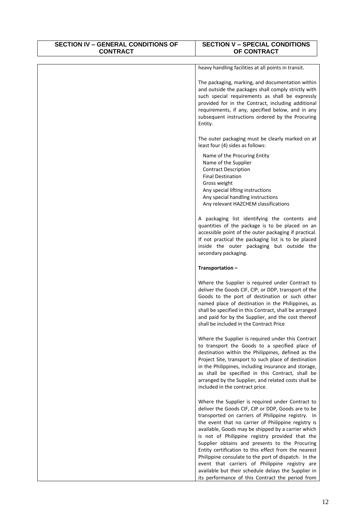| <b>SECTION IV - GENERAL CONDITIONS OF</b><br><b>CONTRACT</b> | <b>SECTION V - SPECIAL CONDITIONS</b><br>OF CONTRACT                                                                                                                                                                                                                                                                                                                                                                                                                                                                                                                                                                                                        |
|--------------------------------------------------------------|-------------------------------------------------------------------------------------------------------------------------------------------------------------------------------------------------------------------------------------------------------------------------------------------------------------------------------------------------------------------------------------------------------------------------------------------------------------------------------------------------------------------------------------------------------------------------------------------------------------------------------------------------------------|
|                                                              | heavy handling facilities at all points in transit.                                                                                                                                                                                                                                                                                                                                                                                                                                                                                                                                                                                                         |
|                                                              | The packaging, marking, and documentation within<br>and outside the packages shall comply strictly with<br>such special requirements as shall be expressly<br>provided for in the Contract, including additional<br>requirements, if any, specified below, and in any<br>subsequent instructions ordered by the Procuring<br>Entity.                                                                                                                                                                                                                                                                                                                        |
|                                                              | The outer packaging must be clearly marked on at<br>least four (4) sides as follows:                                                                                                                                                                                                                                                                                                                                                                                                                                                                                                                                                                        |
|                                                              | Name of the Procuring Entity<br>Name of the Supplier<br><b>Contract Description</b><br><b>Final Destination</b><br>Gross weight<br>Any special lifting instructions<br>Any special handling instructions<br>Any relevant HAZCHEM classifications                                                                                                                                                                                                                                                                                                                                                                                                            |
|                                                              | A packaging list identifying the contents and<br>quantities of the package is to be placed on an<br>accessible point of the outer packaging if practical.<br>If not practical the packaging list is to be placed<br>inside the outer packaging but outside the<br>secondary packaging.                                                                                                                                                                                                                                                                                                                                                                      |
|                                                              | Transportation-                                                                                                                                                                                                                                                                                                                                                                                                                                                                                                                                                                                                                                             |
|                                                              | Where the Supplier is required under Contract to<br>deliver the Goods CIF, CIP, or DDP, transport of the<br>Goods to the port of destination or such other<br>named place of destination in the Philippines, as<br>shall be specified in this Contract, shall be arranged<br>and paid for by the Supplier, and the cost thereof<br>shall be included in the Contract Price                                                                                                                                                                                                                                                                                  |
|                                                              | Where the Supplier is required under this Contract<br>to transport the Goods to a specified place of<br>destination within the Philippines, defined as the<br>Project Site, transport to such place of destination<br>in the Philippines, including insurance and storage,<br>as shall be specified in this Contract, shall be<br>arranged by the Supplier, and related costs shall be<br>included in the contract price.                                                                                                                                                                                                                                   |
|                                                              | Where the Supplier is required under Contract to<br>deliver the Goods CIF, CIP or DDP, Goods are to be<br>transported on carriers of Philippine registry. In<br>the event that no carrier of Philippine registry is<br>available, Goods may be shipped by a carrier which<br>is not of Philippine registry provided that the<br>Supplier obtains and presents to the Procuring<br>Entity certification to this effect from the nearest<br>Philippine consulate to the port of dispatch. In the<br>event that carriers of Philippine registry are<br>available but their schedule delays the Supplier in<br>its performance of this Contract the period from |